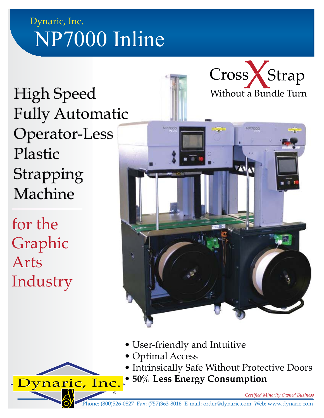## Dynaric, Inc. NP7000 Inline

High Speed Fully Automatic Operator-Less Plastic Strapping Machine

Dynaric, Inc.

®

for the Graphic Arts Industry





- User-friendly and Intuitive
- Optimal Access
- Intrinsically Safe Without Protective Doors
- **50% Less Energy Consumption**

*Certified Minority Owned Business*